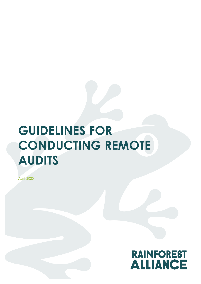# **GUIDELINES FOR CONDUCTING REMOTE AUDITS**

April 2020

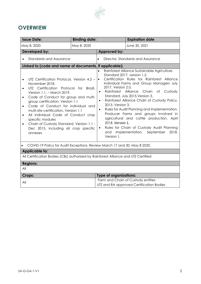

# **OVERWIEW**

| <b>Issue Date:</b>                                                                                                                                                                                                                                                                                                                                                                                                                                                                                                         | <b>Binding date:</b> |                                                   | <b>Expiration date</b>                                                                                                                                                                                                                                                                                                                                                                                                                                                                                                                                                                  |  |
|----------------------------------------------------------------------------------------------------------------------------------------------------------------------------------------------------------------------------------------------------------------------------------------------------------------------------------------------------------------------------------------------------------------------------------------------------------------------------------------------------------------------------|----------------------|---------------------------------------------------|-----------------------------------------------------------------------------------------------------------------------------------------------------------------------------------------------------------------------------------------------------------------------------------------------------------------------------------------------------------------------------------------------------------------------------------------------------------------------------------------------------------------------------------------------------------------------------------------|--|
| May 8, 2020                                                                                                                                                                                                                                                                                                                                                                                                                                                                                                                | May 8, 2020          |                                                   | June 30, 2021                                                                                                                                                                                                                                                                                                                                                                                                                                                                                                                                                                           |  |
| Developed by:                                                                                                                                                                                                                                                                                                                                                                                                                                                                                                              |                      | Approved by:                                      |                                                                                                                                                                                                                                                                                                                                                                                                                                                                                                                                                                                         |  |
| <b>Standards and Assurance</b>                                                                                                                                                                                                                                                                                                                                                                                                                                                                                             |                      | $\bullet$                                         | Director, Standards and Assurance                                                                                                                                                                                                                                                                                                                                                                                                                                                                                                                                                       |  |
| Linked to (code and name of documents, if applicable):                                                                                                                                                                                                                                                                                                                                                                                                                                                                     |                      |                                                   |                                                                                                                                                                                                                                                                                                                                                                                                                                                                                                                                                                                         |  |
| UTZ Certification Protocol, Version 4.3 -<br>November 2018.<br>UTZ Certification Protocol for Brazil,<br>$\bullet$<br>Version 1.1. - March 2019.<br>Code of Conduct for group and multi-<br>$\bullet$<br>group certification, Version 1.1<br>Code of Conduct for individual and<br>$\bullet$<br>multi-site certification, Version 1.1<br>All individual Code of Conduct crop<br>$\bullet$<br>specific modules<br>Chain of Custody Standard, Version 1.1 -<br>$\bullet$<br>Dec 2015, including all crop specific<br>annexes |                      | ۱۰<br>$\bullet$<br>$\bullet$<br>and<br>Version 1. | Rainforest Alliance Sustainable Agriculture<br>Standard 2017, version 1.2.<br>Certification Rules for Rainforest Alliance<br>Individual Farms and Group Managers July<br>2017. Version 2.0.<br>Rainforest Alliance Chain of Custody<br>Standard, July 2015. Version 3.<br>Rainforest Alliance Chain of Custody Policy,<br>2015. Version 3.<br>Rules for Audit Planning and Implementation.<br>Producer Farms and groups involved in<br>agricultural and cattle production, April<br>2018. Version 1.<br>Rules for Chain of Custody Audit Planning<br>Implementation, September<br>2018. |  |
| COVID-19 Policy for Audit Exceptions. Review March 17 and 30, May 8 2020.                                                                                                                                                                                                                                                                                                                                                                                                                                                  |                      |                                                   |                                                                                                                                                                                                                                                                                                                                                                                                                                                                                                                                                                                         |  |
| <b>Applicable to:</b>                                                                                                                                                                                                                                                                                                                                                                                                                                                                                                      |                      |                                                   |                                                                                                                                                                                                                                                                                                                                                                                                                                                                                                                                                                                         |  |
| All Certification Bodies (CBs) authorized by Rainforest Alliance and UTZ Certified                                                                                                                                                                                                                                                                                                                                                                                                                                         |                      |                                                   |                                                                                                                                                                                                                                                                                                                                                                                                                                                                                                                                                                                         |  |
| <b>Regions:</b>                                                                                                                                                                                                                                                                                                                                                                                                                                                                                                            |                      |                                                   |                                                                                                                                                                                                                                                                                                                                                                                                                                                                                                                                                                                         |  |
| All                                                                                                                                                                                                                                                                                                                                                                                                                                                                                                                        |                      |                                                   |                                                                                                                                                                                                                                                                                                                                                                                                                                                                                                                                                                                         |  |
| Crops:                                                                                                                                                                                                                                                                                                                                                                                                                                                                                                                     |                      | <b>Type of organizations:</b>                     |                                                                                                                                                                                                                                                                                                                                                                                                                                                                                                                                                                                         |  |
| All                                                                                                                                                                                                                                                                                                                                                                                                                                                                                                                        |                      |                                                   | Farm and Chain of Custody entities<br>UTZ and RA approved Certification Bodies                                                                                                                                                                                                                                                                                                                                                                                                                                                                                                          |  |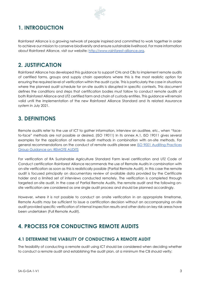

# **1. INTRODUCTION**

Rainforest Alliance is a growing network of people inspired and committed to work together in order to achieve our mission to conserve biodiversity and ensure sustainable livelihood. For more information about Rainforest Alliance, visit our website: [http://www.rainforest-alliance.org.](about:blank)

## **2. JUSTIFICATION**

Rainforest Alliance has developed this guidance to support CHs and CBs to implement remote audits of certified farms, groups and supply chain operations where this is the most realistic option for ensuring the required level of verification within the audit cycle. This is particularly the case in situations where the planned audit schedule for on-site audits is disrupted in specific contexts. This document defines the conditions and steps that certification bodies must follow to conduct remote audits of both Rainforest Alliance and UTZ certified farm and chain of custody entities. This guidance will remain valid until the implementation of the new Rainforest Alliance Standard and its related Assurance system in July 2021.

# **3. DEFINITIONS**

Remote audits refer to the use of ICT to gather information, interview an auditee, etc., when "faceto-face" methods are not possible or desired. (ISO 19011) In its annex A.1, ISO 19011 gives several examples for the application of remote audit methods in combination with on-site methods. For general recommendations on the conduct of remote audits please see **ISO 9001** Auditing Practices [Group Guidance on: REMOTE AUDITS](https://committee.iso.org/files/live/sites/tc176/files/documents/ISO%209001%20Auditing%20Practices%20Group%20docs/Auditing%20General/APG-Remote_Audits.pdf)

For verification of RA Sustainable Agriculture Standard Farm level certification and UTZ Code of Conduct certification Rainforest Alliance recommends the use of Remote Audits in combination with on-site verification as soon as this is realistically possible (Partial Remote Audit). In this case the remote audit is focused principally on documentary review of available data provided by the Certificate holder and a limited set of interviews conducted remotely. The verification is completed through targeted on-site audit. In the case of Partial Remote Audits, the remote audit and the following onsite verification are considered as one single audit process and should be planned accordingly.

However, where it is not possible to conduct an onsite verification in an appropriate timeframe, Remote Audits may be sufficient to issue a certification decision without an accompanying on-site audit provided specific verification of internal inspection results and other data on key risk areas have been undertaken (Full Remote Audit).

# **4. PROCESS FOR CONDUCTING REMOTE AUDITS**

### **4.1 DETERMINE THE VIABILITY OF CONDUCTING A REMOTE AUDIT**

The feasibility of conducting a remote audit using ICT should be considered when deciding whether to conduct a remote audit and establishing the audit plan, at a minimum the CB should verify;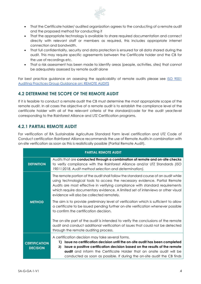

- That the Certificate holder/ audited organization agrees to the conducting of a remote audit and the proposed method for conducting it
- That the appropriate technology is available to share required documentation and connect directly with relevant staff or members as required, this includes appropriate internet connection and bandwidth.
- That full confidentiality, security and data protection is ensured for all data shared during the audit. This may require specific agreements between the Certificate holder and the CB for the use of recordings etc.
- That a risk assessment has been made to identify areas (people, activities, sites) that cannot be adequately assessed by remote audit alone

For best practice guidance on assessing the applicability of remote audits please see [ISO 9001](https://committee.iso.org/files/live/sites/tc176/files/documents/ISO%209001%20Auditing%20Practices%20Group%20docs/Auditing%20General/APG-Remote_Audits.pdf)  [Auditing Practices Group Guidance on: REMOTE AUDITS](https://committee.iso.org/files/live/sites/tc176/files/documents/ISO%209001%20Auditing%20Practices%20Group%20docs/Auditing%20General/APG-Remote_Audits.pdf)

## **4.2 DETERMINE THE SCOPE OF THE REMOTE AUDIT**

If it is feasible to conduct a remote audit the CB must determine the most appropriate scope of the remote audit. In all cases the objective of a remote audit is to establish the compliance level of the certificate holder with all of the relevant criteria of the standard/code for the audit year/level corresponding to the Rainforest Alliance and UTZ Certification programs.

## **4.2.1 PARTIAL REMOTE AUDIT**

For verification of RA Sustainable Agriculture Standard Farm level certification and UTZ Code of Conduct certification Rainforest Alliance recommends the use of Remote Audits in combination with on-site verification as soon as this is realistically possible (Partial Remote Audit).

| <b>PARTIAL REMOTE AUDIT</b>             |                                                                                                                                                                                                                                                                                                                                                                                    |  |
|-----------------------------------------|------------------------------------------------------------------------------------------------------------------------------------------------------------------------------------------------------------------------------------------------------------------------------------------------------------------------------------------------------------------------------------|--|
| <b>DEFINITION</b>                       | Audits that are conducted through a combination of remote and on-site checks<br>to verify compliance with the Rainforest Alliance and/or UTZ Standards (ISO<br>19011:2018, Audit method selection and determination).                                                                                                                                                              |  |
|                                         | The remote portion of the audit shall follow the standard course of an audit while<br>using technological tools to access the necessary evidence. Partial Remote<br>Audits are most effective in verifying compliance with standard requirements<br>which require documentary evidence. A limited set of interviews or other visual<br>evidence will also be collected remotely.   |  |
| <b>METHOD</b>                           | The aim is to provide preliminary level of verification which is sufficient to allow<br>a certificate to be issued pending further on-site verification whenever possible<br>to confirm the certification decision.                                                                                                                                                                |  |
|                                         | The on-site part of the audit is intended to verify the conclusions of the remote<br>audit and conduct additional verification of issues that could not be detected<br>through the remote auditing process.                                                                                                                                                                        |  |
| <b>CERTIFICATION</b><br><b>DECISION</b> | A certification decision may take several forms.<br>Issue no certification decision until the on-site audit has been completed<br>1)<br>Issue a positive certification decision based on the results of the remote<br>2)<br><b>audit</b> and inform the Certificate Holder that an onsite audit will be<br>conducted as soon as possible. If during the on-site audit the CB finds |  |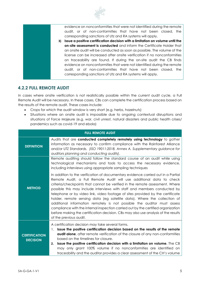

evidence on nonconformities that were not identified during the remote audit, or of non-conformities that have not been closed, the corresponding sanctions of Utz and RA systems will apply.

**3) Issue a positive certification decision with a limitation on volume until the on-site assessment is conducted** and inform the Certificate Holder that an onsite audit will be conducted as soon as possible. The volume of the license can be increased after onsite verification if no nonconformities on traceability are found. If during the on-site audit the CB finds evidence on nonconformities that were not identified during the remote audit, or of non-conformities that have not been closed, the corresponding sanctions of Utz and RA systems will apply.

### **4.2.2 FULL REMOTE AUDIT**

In cases where onsite verification is not realistically possible within the current audit cycle, a Full Remote Audit will be necessary. In these cases, CBs can complete the certification process based on the results of the remote audit. These cases include:

- Crops for which the audit window is very short (e.g. herbs, hazelnuts)
- Situations where an onsite audit is impossible due to ongoing contextual disruptions and situations of Force Majeure (e.g. war, civil unrest, natural disasters and public health crises/ pandemics such as covid-19 and ebola)

| <b>FULL REMOTE AUDIT</b>                |                                                                                                                                                                                                                                                                                                                                                                                                                                                                                                                                                                                                                                                                                                                                                                   |  |
|-----------------------------------------|-------------------------------------------------------------------------------------------------------------------------------------------------------------------------------------------------------------------------------------------------------------------------------------------------------------------------------------------------------------------------------------------------------------------------------------------------------------------------------------------------------------------------------------------------------------------------------------------------------------------------------------------------------------------------------------------------------------------------------------------------------------------|--|
| <b>DEFINITION</b>                       | Audits that are conducted completely remotely using technology to gather<br>information as necessary to confirm compliance with the Rainforest Alliance<br>and/or UTZ Standards. (ISO 19011:2018, Annex A. Supplementary guidance for<br>auditors planning and conducting audits).                                                                                                                                                                                                                                                                                                                                                                                                                                                                                |  |
|                                         | Remote auditing should follow the standard course of an audit while using<br>technological mechanisms and tools to access the necessary evidence,<br>including interviews using appropriate sampling techniques                                                                                                                                                                                                                                                                                                                                                                                                                                                                                                                                                   |  |
| <b>METHOD</b>                           | In addition to the verification of documentary evidence carried out in a Partial<br>Remote Audit, a Full Remote Audit will use additional data to check<br>criteria/checkpoints that cannot be verified in the remote assessment. Where<br>possible this may include interviews with staff and members conducted by<br>telephone or by video link, video footage of sites provided by the certificate<br>holder, remote sensing data (eg satellite data). Where the collection of<br>additional information remotely is not possible the auditor must assess<br>compliance with the internal inspection carried out by the certified organization<br>before making the certification decision. CBs may also use analysis of the results<br>of the previous audit. |  |
| <b>CERTIFICATION</b><br><b>DECISION</b> | A certification decision may take several forms.<br>Issue the positive certification decision based on the results of the remote<br>$\mathbf{1}_{\cdot}$<br>audit alone, after remote verification of the closure of any non-conformities<br>based on the timelines for closure.<br>Issue the positive certification decision with a limitation on volume. The CB<br>2.<br>may only grant 100% volume if no nonconformities are identified on<br>traceability and the auditor provides a clear assessment of the CH's volume                                                                                                                                                                                                                                      |  |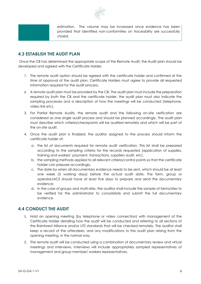

estimation. The volume may be increased once evidence has been provided that identified non-conformities on traceability are successfully closed.

#### **4.3 ESTABLISH THE AUDIT PLAN**

Once the CB has determined the appropriate scope of the Remote Audit, the Audit plan should be developed and agreed with the Certificate Holder.

- 1. The remote audit option should be agreed with the certificate holder and confirmed at the time of approval of the audit plan. Certificate Holders must agree to provide all requested information required for the audit process.
- 2. A remote audit plan must be provided by the CB. The audit plan must include the preparation required by both the CB and the certificate holder, the audit plan must also indicate the sampling processes and a description of how the meetings will be conducted (telephone, video link etc).
- 3. For Partial Remote Audits, the remote audit and the following on-site verification are considered as one single audit process and should be planned accordingly. The audit plan must describe which criteria/checkpoints will be audited remotely and which will be part of the on-site audit.
- 4. Once the audit plan is finalized, the auditor assigned to the process should inform the certificate holder of:
	- a. the list of documents required for remote audit verification. This list shall be prepared according to the sampling criteria for the records requested (application of supplies, training and workers' payment, transactions, suppliers audit, etc).
	- b. the sampling methods applied to all relevant criteria/control points so that the certificate holder can prepare accordingly.
	- c. The date by when all documentary evidence needs to be sent, which should be at least one week (5 working days) before the actual audit date. The farm, group or operator/ACS should have at least five days to prepare and send the documentary evidence;
	- d. In the case of groups and multi-sites, the auditor shall include the sample of farms/sites to be verified for the administrator to consolidate and submit the full documentary evidence.

#### **4.4 CONDUCT THE AUDIT**

- 1. Hold an opening meeting (by telephone or video connection) with management of the Certificate Holder detailing how the audit will be conducted and referring to all sections of the Rainforest Alliance and/or UTZ standards that will be checked remotely. The auditor shall keep a record of the attendees, and any modifications to the audit plan arising from the opening meeting, in the normal way.
- 2. The remote audit will be conducted using a combination of documentary review and virtual meetings and interviews. Interviews will include appropriately sampled representatives of management and group member/ workers representatives.